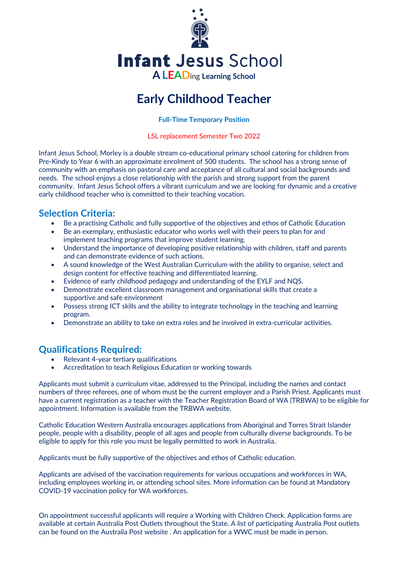

**Infant Jesus School** 

**ALEAD**ing **Learning School**

# **Early Childhood Teacher**

**Full-Time Temporary Position** 

LSL replacement Semester Two 2022

Infant Jesus School, Morley is a double stream co-educational primary school catering for children from Pre-Kindy to Year 6 with an approximate enrolment of 500 students. The school has a strong sense of community with an emphasis on pastoral care and acceptance of all cultural and social backgrounds and needs. The school enjoys a close relationship with the parish and strong support from the parent community. Infant Jesus School offers a vibrant curriculum and we are looking for dynamic and a creative early childhood teacher who is committed to their teaching vocation.

## **Selection Criteria:**

- Be a practising Catholic and fully supportive of the objectives and ethos of Catholic Education
- Be an exemplary, enthusiastic educator who works well with their peers to plan for and implement teaching programs that improve student learning.
- Understand the importance of developing positive relationship with children, staff and parents and can demonstrate evidence of such actions.
- A sound knowledge of the West Australian Curriculum with the ability to organise, select and design content for effective teaching and differentiated learning.
- Evidence of early childhood pedagogy and understanding of the EYLF and NQS.
- Demonstrate excellent classroom management and organisational skills that create a supportive and safe environment
- Possess strong ICT skills and the ability to integrate technology in the teaching and learning program.
- Demonstrate an ability to take on extra roles and be involved in extra-curricular activities.

## **Qualifications Required:**

- Relevant 4-year tertiary qualifications
- Accreditation to teach Religious Education or working towards

Applicants must submit a curriculum vitae, addressed to the Principal, including the names and contact numbers of three referees, one of whom must be the current employer and a Parish Priest. Applicants must have a current registration as a teacher with the Teacher Registration Board of WA (TRBWA) to be eligible for appointment. Information is available from the TRBWA website.

Catholic Education Western Australia encourages applications from Aboriginal and Torres Strait Islander people, people with a disability, people of all ages and people from culturally diverse backgrounds. To be eligible to apply for this role you must be legally permitted to work in Australia.

Applicants must be fully supportive of the objectives and ethos of Catholic education.

Applicants are advised of the vaccination requirements for various occupations and workforces in WA, including employees working in, or attending school sites. More information can be found at Mandatory COVID-19 vaccination policy for WA workforces.

On appointment successful applicants will require a Working with Children Check. Application forms are available at certain Australia Post Outlets throughout the State. A list of participating Australia Post outlets can be found on the Australia Post website . An application for a WWC must be made in person.